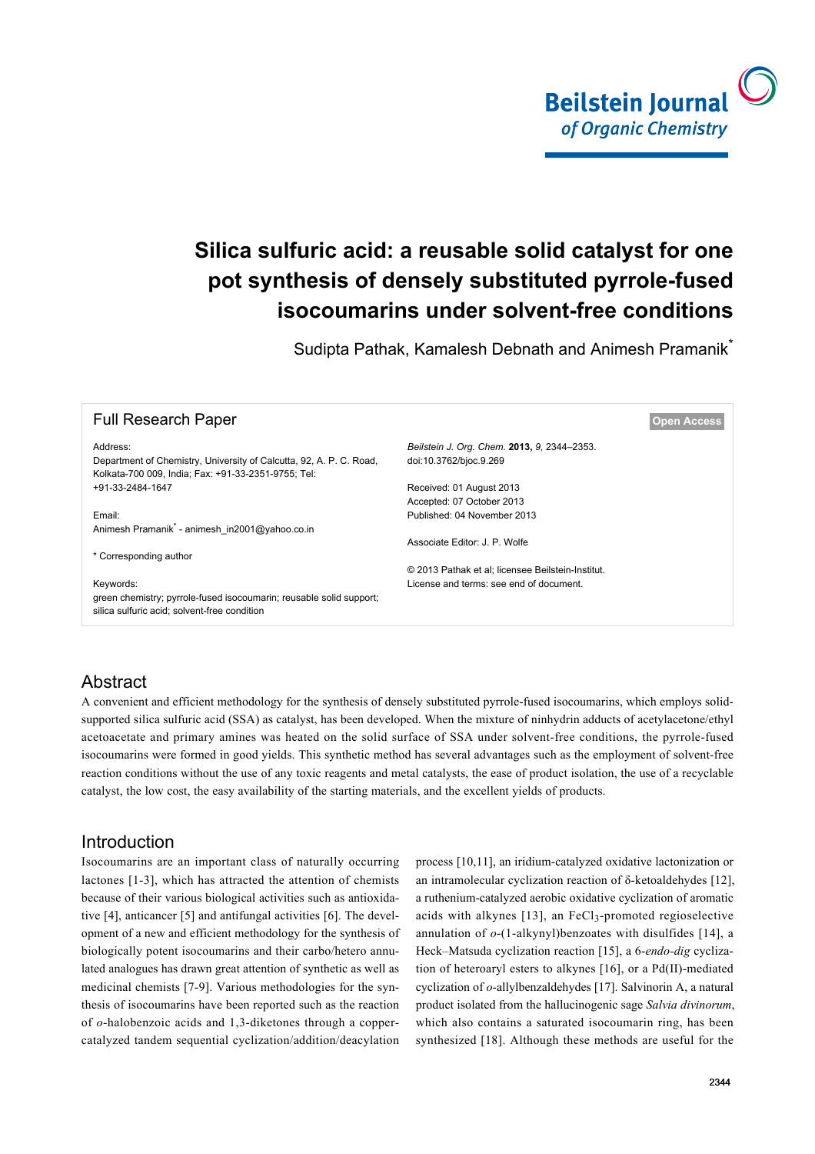

# **Silica sulfuric acid: a reusable solid catalyst for one pot synthesis of densely substituted pyrrole-fused isocoumarins under solvent-free conditions**

Sudipta Pathak, Kamalesh Debnath and Animesh Pramanik<sup>\*</sup>

| <b>Full Research Paper</b>                                                                                                       | Open Access                                       |
|----------------------------------------------------------------------------------------------------------------------------------|---------------------------------------------------|
| Address:                                                                                                                         | Beilstein J. Org. Chem. 2013, 9, 2344–2353.       |
| Department of Chemistry, University of Calcutta, 92, A. P. C. Road,<br>Kolkata-700 009, India; Fax: +91-33-2351-9755; Tel:       | doi:10.3762/bjoc.9.269                            |
| +91-33-2484-1647                                                                                                                 | Received: 01 August 2013                          |
|                                                                                                                                  | Accepted: 07 October 2013                         |
| Email:                                                                                                                           | Published: 04 November 2013                       |
| Animesh Pramanik <sup>*</sup> - animesh in2001@yahoo.co.in                                                                       |                                                   |
|                                                                                                                                  | Associate Editor: J. P. Wolfe                     |
| * Corresponding author                                                                                                           |                                                   |
|                                                                                                                                  | © 2013 Pathak et al; licensee Beilstein-Institut. |
| Keywords:<br>green chemistry; pyrrole-fused isocoumarin; reusable solid support;<br>silica sulfuric acid; solvent-free condition | License and terms: see end of document.           |

# Abstract

A convenient and efficient methodology for the synthesis of densely substituted pyrrole-fused isocoumarins, which employs solidsupported silica sulfuric acid (SSA) as catalyst, has been developed. When the mixture of ninhydrin adducts of acetylacetone/ethyl acetoacetate and primary amines was heated on the solid surface of SSA under solvent-free conditions, the pyrrole-fused isocoumarins were formed in good yields. This synthetic method has several advantages such as the employment of solvent-free reaction conditions without the use of any toxic reagents and metal catalysts, the ease of product isolation, the use of a recyclable catalyst, the low cost, the easy availability of the starting materials, and the excellent yields of products.

# Introduction

Isocoumarins are an important class of naturally occurring lactones [\[1-3\],](#page-8-0) which has attracted the attention of chemists because of their various biological activities such as antioxidative [\[4\]](#page-8-1), anticancer [\[5\]](#page-8-2) and antifungal activities [\[6\].](#page-8-3) The development of a new and efficient methodology for the synthesis of biologically potent isocoumarins and their carbo/hetero annulated analogues has drawn great attention of synthetic as well as medicinal chemists [\[7-9\].](#page-8-4) Various methodologies for the synthesis of isocoumarins have been reported such as the reaction of *o*-halobenzoic acids and 1,3-diketones through a coppercatalyzed tandem sequential cyclization/addition/deacylation

process [\[10,11\],](#page-8-5) an iridium-catalyzed oxidative lactonization or an intramolecular cyclization reaction of δ-ketoaldehydes [\[12\]](#page-8-6), a ruthenium-catalyzed aerobic oxidative cyclization of aromatic acids with alkynes [\[13\],](#page-8-7) an FeCl<sub>3</sub>-promoted regioselective annulation of *o*-(1-alkynyl)benzoates with disulfides [\[14\],](#page-8-8) a Heck–Matsuda cyclization reaction [\[15\]](#page-8-9), a 6-*endo-dig* cyclization of heteroaryl esters to alkynes [\[16\]](#page-8-10), or a Pd(II)-mediated cyclization of *o*-allylbenzaldehydes [\[17\].](#page-8-11) Salvinorin A, a natural product isolated from the hallucinogenic sage *Salvia divinorum*, which also contains a saturated isocoumarin ring, has been synthesized [\[18\].](#page-8-12) Although these methods are useful for the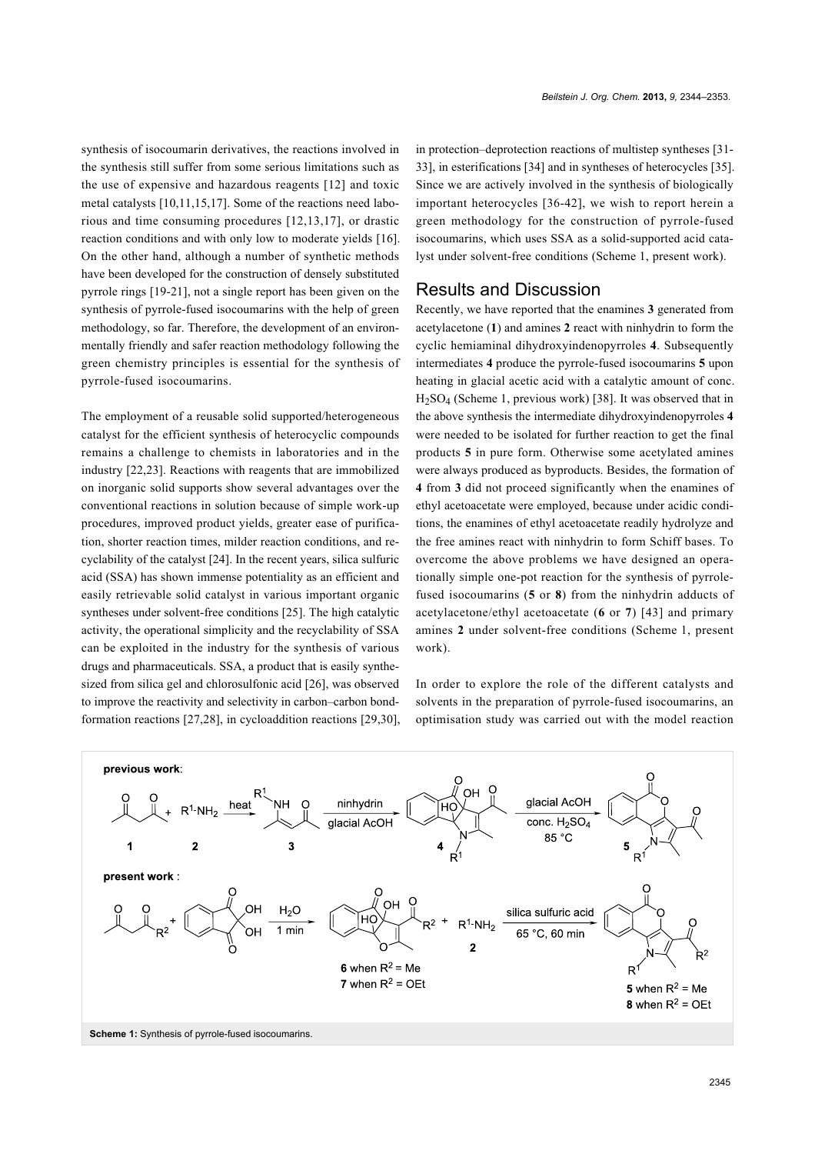synthesis of isocoumarin derivatives, the reactions involved in the synthesis still suffer from some serious limitations such as the use of expensive and hazardous reagents [\[12\]](#page-8-6) and toxic metal catalysts [\[10,11,15,17\].](#page-8-5) Some of the reactions need laborious and time consuming procedures [\[12,13,17\]](#page-8-6), or drastic reaction conditions and with only low to moderate yields [\[16\]](#page-8-10). On the other hand, although a number of synthetic methods have been developed for the construction of densely substituted pyrrole rings [\[19-21\],](#page-8-13) not a single report has been given on the synthesis of pyrrole-fused isocoumarins with the help of green methodology, so far. Therefore, the development of an environmentally friendly and safer reaction methodology following the green chemistry principles is essential for the synthesis of pyrrole-fused isocoumarins.

The employment of a reusable solid supported/heterogeneous catalyst for the efficient synthesis of heterocyclic compounds remains a challenge to chemists in laboratories and in the industry [\[22,23\]](#page-8-14). Reactions with reagents that are immobilized on inorganic solid supports show several advantages over the conventional reactions in solution because of simple work-up procedures, improved product yields, greater ease of purification, shorter reaction times, milder reaction conditions, and recyclability of the catalyst [\[24\]](#page-8-15). In the recent years, silica sulfuric acid (SSA) has shown immense potentiality as an efficient and easily retrievable solid catalyst in various important organic syntheses under solvent-free conditions [\[25\].](#page-8-16) The high catalytic activity, the operational simplicity and the recyclability of SSA can be exploited in the industry for the synthesis of various drugs and pharmaceuticals. SSA, a product that is easily synthesized from silica gel and chlorosulfonic acid [\[26\],](#page-8-17) was observed to improve the reactivity and selectivity in carbon–carbon bondformation reactions [\[27,28\],](#page-8-18) in cycloaddition reactions [\[29,30\]](#page-8-19), in protection–deprotection reactions of multistep syntheses [\[31-](#page-8-20) [33\],](#page-8-20) in esterifications [\[34\]](#page-8-21) and in syntheses of heterocycles [\[35\]](#page-8-22). Since we are actively involved in the synthesis of biologically important heterocycles [\[36-42\]](#page-8-23), we wish to report herein a green methodology for the construction of pyrrole-fused isocoumarins, which uses SSA as a solid-supported acid catalyst under solvent-free conditions [\(Scheme 1](#page-1-0), present work).

#### Results and Discussion

Recently, we have reported that the enamines **3** generated from acetylacetone (**1**) and amines **2** react with ninhydrin to form the cyclic hemiaminal dihydroxyindenopyrroles **4**. Subsequently intermediates **4** produce the pyrrole-fused isocoumarins **5** upon heating in glacial acetic acid with a catalytic amount of conc.  $H<sub>2</sub>SO<sub>4</sub>$  [\(Scheme 1](#page-1-0), previous work) [\[38\].](#page-8-24) It was observed that in the above synthesis the intermediate dihydroxyindenopyrroles **4** were needed to be isolated for further reaction to get the final products **5** in pure form. Otherwise some acetylated amines were always produced as byproducts. Besides, the formation of **4** from **3** did not proceed significantly when the enamines of ethyl acetoacetate were employed, because under acidic conditions, the enamines of ethyl acetoacetate readily hydrolyze and the free amines react with ninhydrin to form Schiff bases. To overcome the above problems we have designed an operationally simple one-pot reaction for the synthesis of pyrrolefused isocoumarins (**5** or **8**) from the ninhydrin adducts of acetylacetone/ethyl acetoacetate (**6** or **7**) [\[43\]](#page-9-0) and primary amines **2** under solvent-free conditions [\(Scheme 1,](#page-1-0) present work).

In order to explore the role of the different catalysts and solvents in the preparation of pyrrole-fused isocoumarins, an optimisation study was carried out with the model reaction

<span id="page-1-0"></span>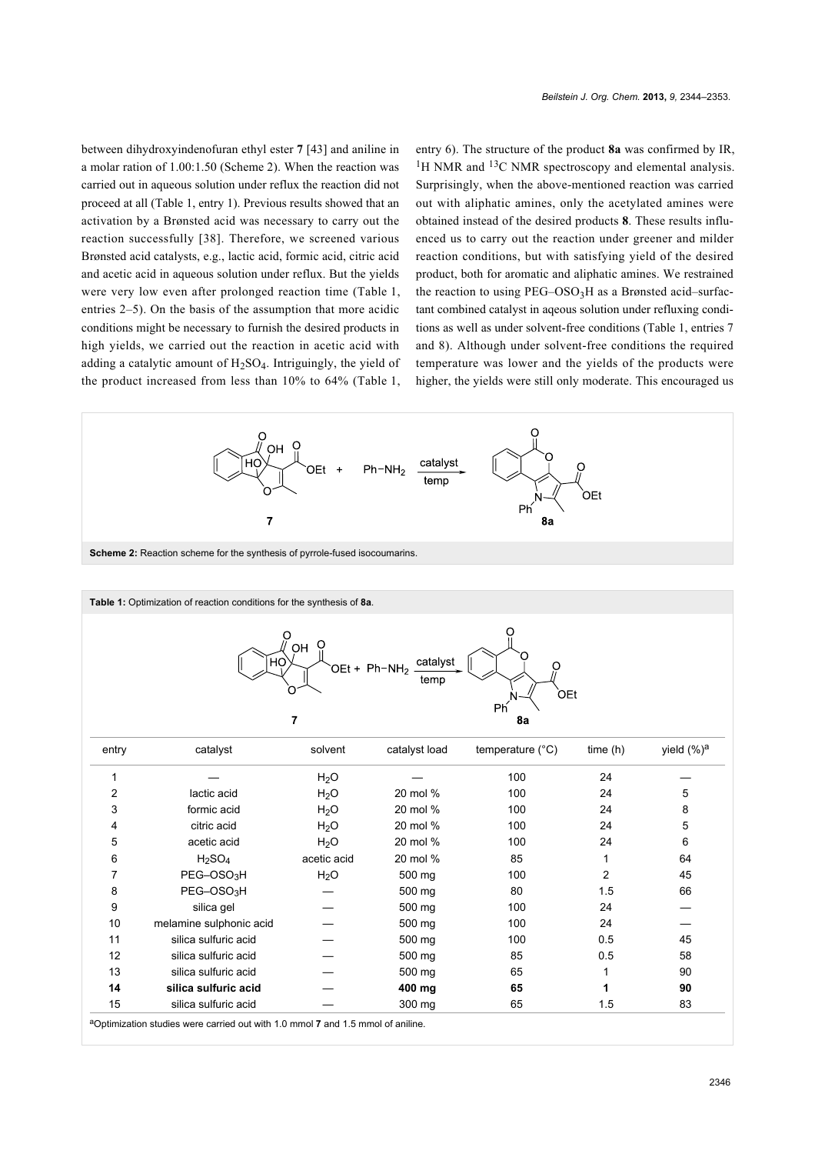between dihydroxyindenofuran ethyl ester **7** [\[43\]](#page-9-0) and aniline in a molar ration of 1.00:1.50 ([Scheme 2\)](#page-2-0). When the reaction was carried out in aqueous solution under reflux the reaction did not proceed at all [\(Table 1](#page-2-1), entry 1). Previous results showed that an activation by a Brønsted acid was necessary to carry out the reaction successfully [\[38\]](#page-8-24). Therefore, we screened various Brønsted acid catalysts, e.g., lactic acid, formic acid, citric acid and acetic acid in aqueous solution under reflux. But the yields were very low even after prolonged reaction time ([Table 1](#page-2-1), entries 2–5). On the basis of the assumption that more acidic conditions might be necessary to furnish the desired products in high yields, we carried out the reaction in acetic acid with adding a catalytic amount of  $H_2SO_4$ . Intriguingly, the yield of the product increased from less than 10% to 64% ([Table 1](#page-2-1), entry 6). The structure of the product **8a** was confirmed by IR, <sup>1</sup>H NMR and <sup>13</sup>C NMR spectroscopy and elemental analysis. Surprisingly, when the above-mentioned reaction was carried out with aliphatic amines, only the acetylated amines were obtained instead of the desired products **8**. These results influenced us to carry out the reaction under greener and milder reaction conditions, but with satisfying yield of the desired product, both for aromatic and aliphatic amines. We restrained the reaction to using PEG–OSO<sub>3</sub>H as a Brønsted acid–surfactant combined catalyst in aqeous solution under refluxing conditions as well as under solvent-free conditions ([Table 1,](#page-2-1) entries 7 and 8). Although under solvent-free conditions the required temperature was lower and the yields of the products were higher, the yields were still only moderate. This encouraged us

<span id="page-2-1"></span><span id="page-2-0"></span>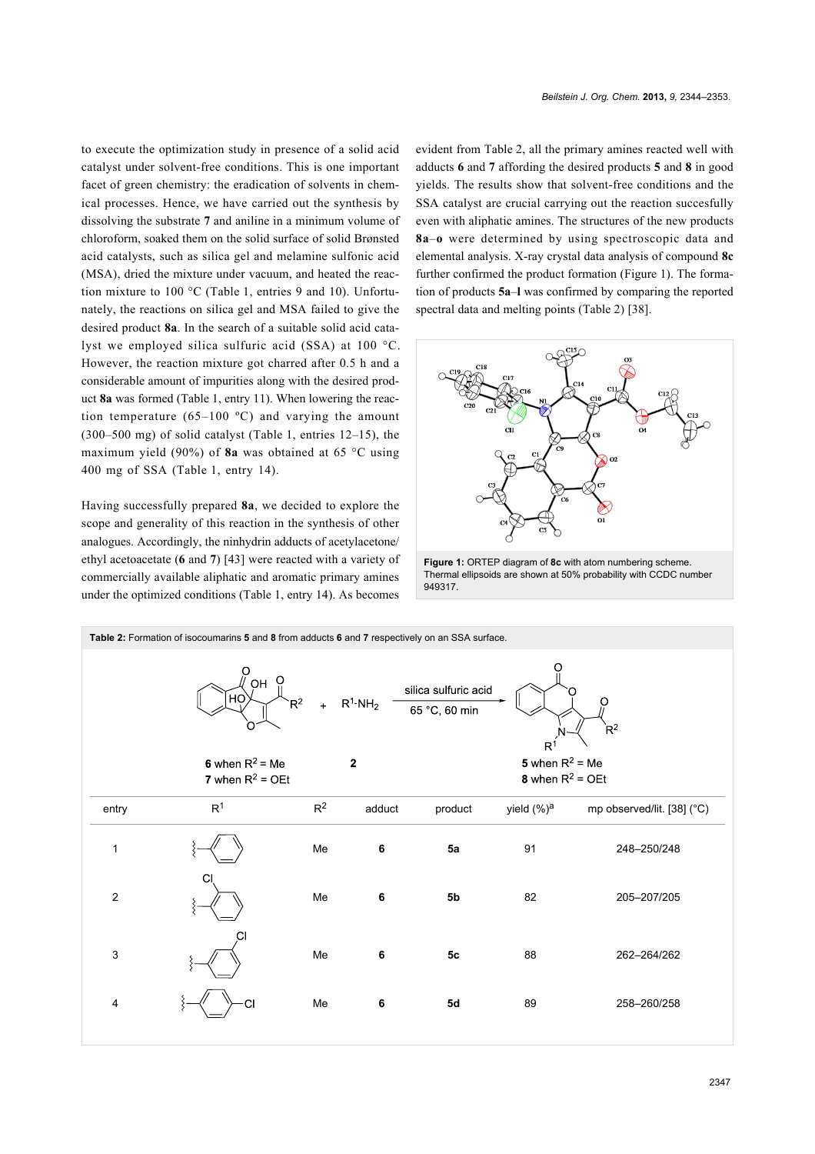to execute the optimization study in presence of a solid acid catalyst under solvent-free conditions. This is one important facet of green chemistry: the eradication of solvents in chemical processes. Hence, we have carried out the synthesis by dissolving the substrate **7** and aniline in a minimum volume of chloroform, soaked them on the solid surface of solid Brønsted acid catalysts, such as silica gel and melamine sulfonic acid (MSA), dried the mixture under vacuum, and heated the reaction mixture to 100 °C [\(Table 1](#page-2-1), entries 9 and 10). Unfortunately, the reactions on silica gel and MSA failed to give the desired product **8a**. In the search of a suitable solid acid catalyst we employed silica sulfuric acid (SSA) at 100 °C. However, the reaction mixture got charred after 0.5 h and a considerable amount of impurities along with the desired product **8a** was formed [\(Table 1](#page-2-1), entry 11). When lowering the reaction temperature  $(65-100 \degree C)$  and varying the amount (300–500 mg) of solid catalyst ([Table 1](#page-2-1), entries 12–15), the maximum yield (90%) of **8a** was obtained at 65 °C using 400 mg of SSA ([Table 1](#page-2-1), entry 14).

Having successfully prepared **8a**, we decided to explore the scope and generality of this reaction in the synthesis of other analogues. Accordingly, the ninhydrin adducts of acetylacetone/ ethyl acetoacetate (**6** and **7**) [\[43\]](#page-9-0) were reacted with a variety of commercially available aliphatic and aromatic primary amines under the optimized conditions ([Table 1](#page-2-1), entry 14). As becomes

evident from [Table 2](#page-3-0), all the primary amines reacted well with adducts **6** and **7** affording the desired products **5** and **8** in good yields. The results show that solvent-free conditions and the SSA catalyst are crucial carrying out the reaction succesfully even with aliphatic amines. The structures of the new products **8a**–**o** were determined by using spectroscopic data and elemental analysis. X-ray crystal data analysis of compound **8c** further confirmed the product formation ([Figure 1](#page-3-1)). The formation of products **5a**–**l** was confirmed by comparing the reported spectral data and melting points [\(Table 2\)](#page-3-0) [\[38\]](#page-8-24).

<span id="page-3-1"></span>

**Figure 1: ORTEP diagram of 8c with atom numbering scheme.** Thermal ellipsoids are shown at 50% probability with CCDC number 949317.

<span id="page-3-0"></span>**Table 2:** Formation of isocoumarins **5** and **8** from adducts **6** and **7** respectively on an SSA surface. silica sulfuric acid 65 °C, 60 min  $R^{\dot{1}}$ 5 when  $R^2$  = Me 6 when  $R^2$  = Me  $\overline{2}$ 8 when  $R^2$  = OEt 7 when  $R^2$  = OEt entry and R<sup>1</sup> R<sup>2</sup> adduct product yield (%)<sup>a</sup> mp observed/lit. [\[38\]](#page-8-24) (°C) 1 Me **6 5a** 91 248–250/248 2 Me **6 5b** 82 205–207/205 3 Me **6 5c** 88 262–264/262 4 Me **6 5d** 89 258–260/258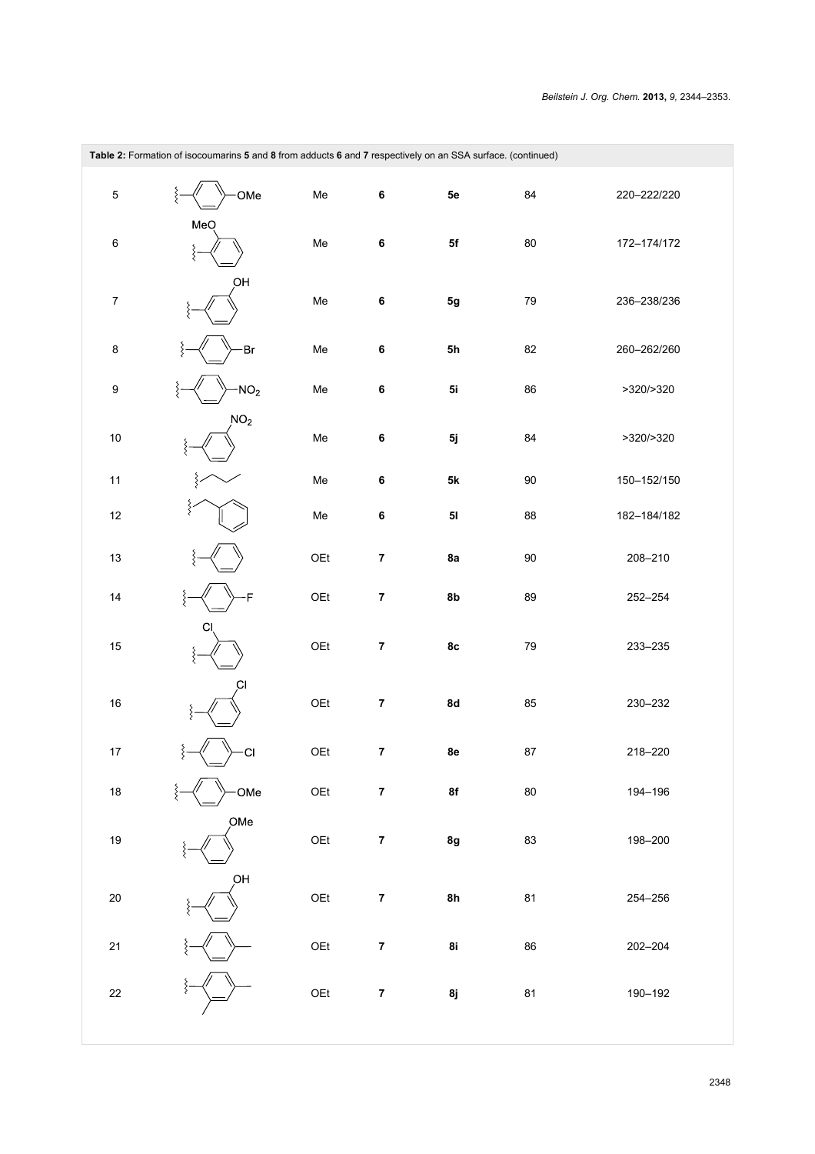| Table 2: Formation of isocoumarins 5 and 8 from adducts 6 and 7 respectively on an SSA surface. (continued) |                 |     |                  |               |            |             |  |
|-------------------------------------------------------------------------------------------------------------|-----------------|-----|------------------|---------------|------------|-------------|--|
| $\overline{5}$                                                                                              | ξ<br>OMe        | Me  | 6                | 5e            | 84         | 220-222/220 |  |
| 6                                                                                                           | MeO<br>ξ        | Me  | 6                | ${\sf 5f}$    | $80\,$     | 172-174/172 |  |
| $\boldsymbol{7}$                                                                                            | ОH              | Me  | 6                | $5g$          | 79         | 236-238/236 |  |
| 8                                                                                                           | Br              | Me  | 6                | 5h            | 82         | 260-262/260 |  |
| 9                                                                                                           | ξ<br>$-NO2$     | Me  | 6                | 5i            | 86         | >320/>320   |  |
| $10\,$                                                                                                      | NO <sub>2</sub> | Me  | 6                | 5j            | 84         | >320/>320   |  |
| 11                                                                                                          | ξ               | Me  | 6                | $5\mathsf{k}$ | $90\,$     | 150-152/150 |  |
| $12\,$                                                                                                      | ξ               | Me  | 6                | $5\mathsf{l}$ | 88         | 182-184/182 |  |
| $13$                                                                                                        | ξ               | OEt | $\pmb{7}$        | 8a            | $90\,$     | 208-210     |  |
| 14                                                                                                          | F<br>ξ          | OEt | $\pmb{7}$        | 8b            | 89         | 252-254     |  |
| 15                                                                                                          | С<br>ξ          | OEt | $\pmb{7}$        | 8c            | 79         | 233-235     |  |
| $16\,$                                                                                                      | C1<br>ξ         | OEt | $\pmb{7}$        | 8d            | 85         | 230-232     |  |
| $17\,$                                                                                                      | ξ<br>·CI<br>⋍   | OEt | $\pmb{7}$        | 8e            | ${\bf 87}$ | 218-220     |  |
| $18\,$                                                                                                      | OMe             | OEt | $\bf 7$          | 8f            | ${\bf 80}$ | 194-196     |  |
| $19$                                                                                                        | OMe             | OEt | $\boldsymbol{7}$ | 8g            | 83         | 198-200     |  |
| $20\,$                                                                                                      | ОH              | OEt | $\pmb{7}$        | 8h            | 81         | 254-256     |  |
| $21\,$                                                                                                      |                 | OEt | $\bf 7$          | 8i            | 86         | 202-204     |  |
| $22\,$                                                                                                      |                 | OEt | $\pmb{7}$        | 8j            | 81         | 190-192     |  |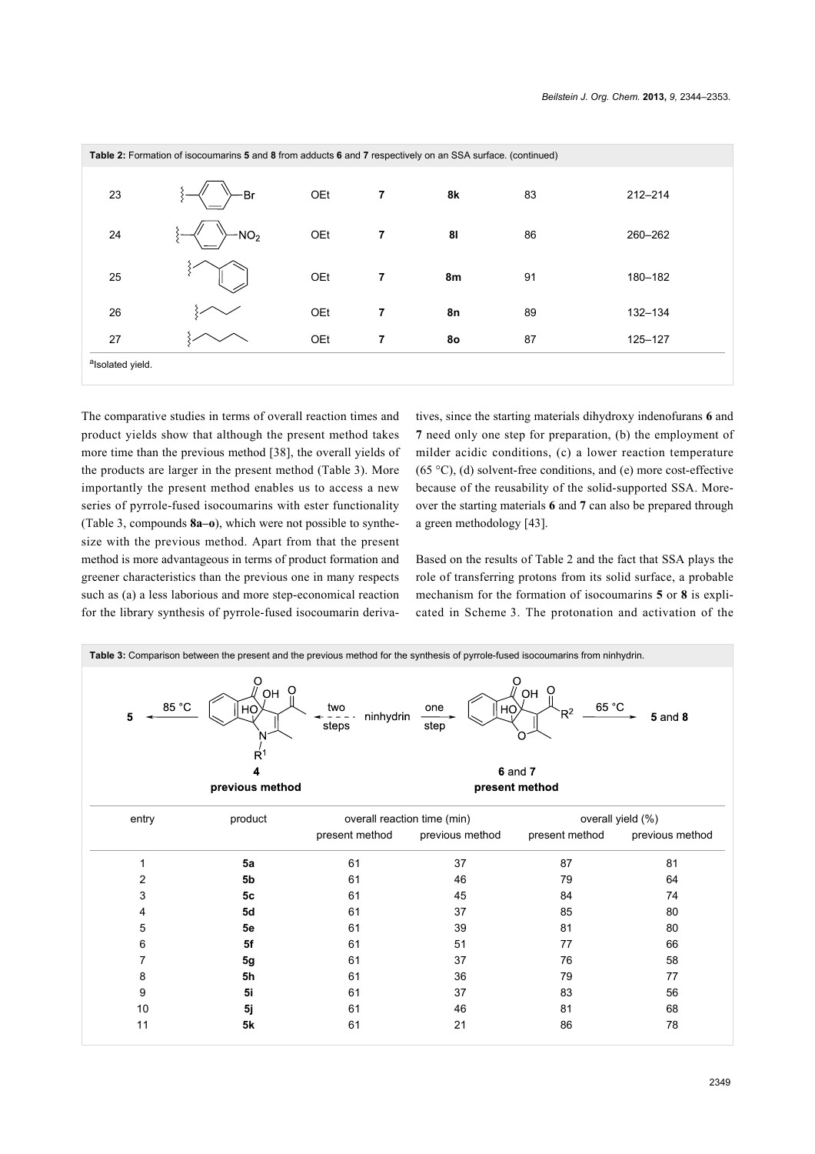| Table 2: Formation of isocoumarins 5 and 8 from adducts 6 and 7 respectively on an SSA surface. (continued) |                 |     |   |    |    |             |
|-------------------------------------------------------------------------------------------------------------|-----------------|-----|---|----|----|-------------|
| 23                                                                                                          | Br              | OEt | 7 | 8k | 83 | $212 - 214$ |
| 24                                                                                                          | NO <sub>2</sub> | OEt | 7 | 81 | 86 | 260-262     |
| 25                                                                                                          |                 | OEt | 7 | 8m | 91 | 180-182     |
| 26                                                                                                          |                 | OEt | 7 | 8n | 89 | 132-134     |
| 27                                                                                                          |                 | OEt | 7 | 80 | 87 | 125-127     |
| alsolated yield.                                                                                            |                 |     |   |    |    |             |

The comparative studies in terms of overall reaction times and product yields show that although the present method takes more time than the previous method [\[38\]](#page-8-24), the overall yields of the products are larger in the present method ([Table 3](#page-5-0)). More importantly the present method enables us to access a new series of pyrrole-fused isocoumarins with ester functionality ([Table 3,](#page-5-0) compounds **8a–o**), which were not possible to synthesize with the previous method. Apart from that the present method is more advantageous in terms of product formation and greener characteristics than the previous one in many respects such as (a) a less laborious and more step-economical reaction for the library synthesis of pyrrole-fused isocoumarin derivatives, since the starting materials dihydroxy indenofurans **6** and **7** need only one step for preparation, (b) the employment of milder acidic conditions, (c) a lower reaction temperature  $(65 °C)$ , (d) solvent-free conditions, and (e) more cost-effective because of the reusability of the solid-supported SSA. Moreover the starting materials **6** and **7** can also be prepared through a green methodology [\[43\].](#page-9-0)

Based on the results of [Table 2](#page-3-0) and the fact that SSA plays the role of transferring protons from its solid surface, a probable mechanism for the formation of isocoumarins **5** or **8** is explicated in [Scheme 3](#page-6-0). The protonation and activation of the

<span id="page-5-0"></span>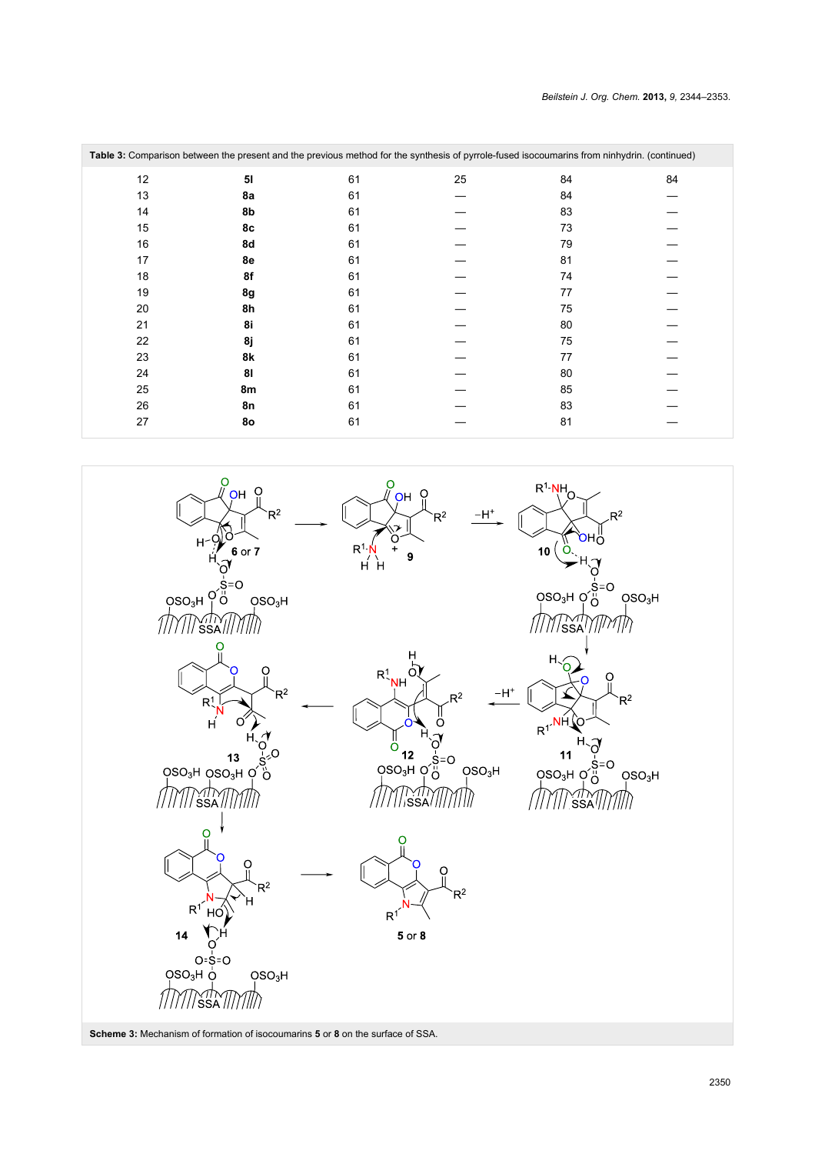| Table 3: Comparison between the present and the previous method for the synthesis of pyrrole-fused isocoumarins from ninhydrin. (continued) |    |    |    |    |    |  |
|---------------------------------------------------------------------------------------------------------------------------------------------|----|----|----|----|----|--|
| 12                                                                                                                                          | 51 | 61 | 25 | 84 | 84 |  |
| 13                                                                                                                                          | 8a | 61 |    | 84 |    |  |
| 14                                                                                                                                          | 8b | 61 |    | 83 |    |  |
| 15                                                                                                                                          | 8c | 61 |    | 73 |    |  |
| 16                                                                                                                                          | 8d | 61 |    | 79 |    |  |
| 17                                                                                                                                          | 8e | 61 |    | 81 |    |  |
| 18                                                                                                                                          | 8f | 61 |    | 74 |    |  |
| 19                                                                                                                                          | 8g | 61 |    | 77 |    |  |
| 20                                                                                                                                          | 8h | 61 |    | 75 |    |  |
| 21                                                                                                                                          | 8i | 61 |    | 80 |    |  |
| 22                                                                                                                                          | 8ј | 61 |    | 75 |    |  |
| 23                                                                                                                                          | 8k | 61 |    | 77 |    |  |
| 24                                                                                                                                          | 81 | 61 |    | 80 |    |  |
| 25                                                                                                                                          | 8m | 61 |    | 85 |    |  |
| 26                                                                                                                                          | 8n | 61 |    | 83 |    |  |
| 27                                                                                                                                          | 80 | 61 |    | 81 |    |  |

<span id="page-6-0"></span>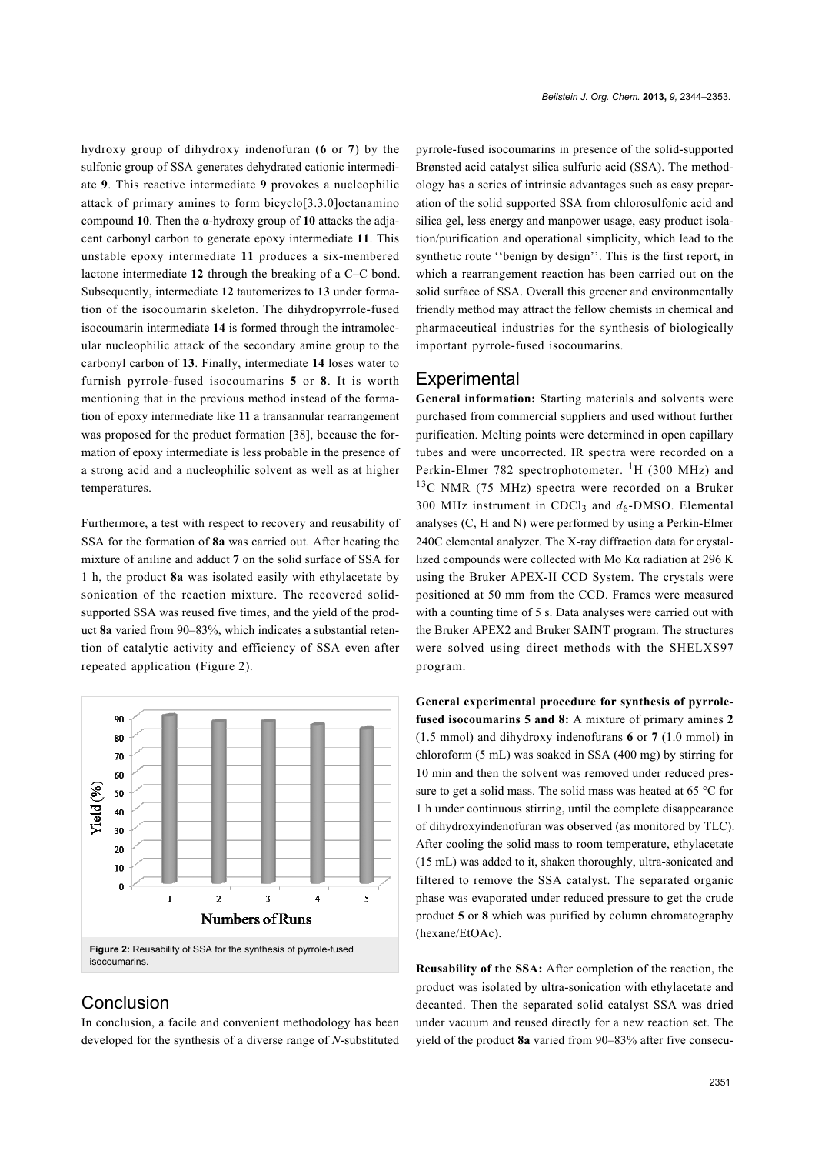hydroxy group of dihydroxy indenofuran (**6** or **7**) by the sulfonic group of SSA generates dehydrated cationic intermediate **9**. This reactive intermediate **9** provokes a nucleophilic attack of primary amines to form bicyclo[3.3.0]octanamino compound **10**. Then the α-hydroxy group of **10** attacks the adjacent carbonyl carbon to generate epoxy intermediate **11**. This unstable epoxy intermediate **11** produces a six-membered lactone intermediate **12** through the breaking of a C–C bond. Subsequently, intermediate **12** tautomerizes to **13** under formation of the isocoumarin skeleton. The dihydropyrrole-fused isocoumarin intermediate **14** is formed through the intramolecular nucleophilic attack of the secondary amine group to the carbonyl carbon of **13**. Finally, intermediate **14** loses water to furnish pyrrole-fused isocoumarins **5** or **8**. It is worth mentioning that in the previous method instead of the formation of epoxy intermediate like **11** a transannular rearrangement was proposed for the product formation [\[38\]](#page-8-24), because the formation of epoxy intermediate is less probable in the presence of a strong acid and a nucleophilic solvent as well as at higher temperatures.

Furthermore, a test with respect to recovery and reusability of SSA for the formation of **8a** was carried out. After heating the mixture of aniline and adduct **7** on the solid surface of SSA for 1 h, the product **8a** was isolated easily with ethylacetate by sonication of the reaction mixture. The recovered solidsupported SSA was reused five times, and the yield of the product **8a** varied from 90–83%, which indicates a substantial retention of catalytic activity and efficiency of SSA even after repeated application ([Figure 2](#page-7-0)).

<span id="page-7-0"></span>

## Conclusion

In conclusion, a facile and convenient methodology has been developed for the synthesis of a diverse range of *N*-substituted pyrrole-fused isocoumarins in presence of the solid-supported Brønsted acid catalyst silica sulfuric acid (SSA). The methodology has a series of intrinsic advantages such as easy preparation of the solid supported SSA from chlorosulfonic acid and silica gel, less energy and manpower usage, easy product isolation/purification and operational simplicity, which lead to the synthetic route ''benign by design''. This is the first report, in which a rearrangement reaction has been carried out on the solid surface of SSA. Overall this greener and environmentally friendly method may attract the fellow chemists in chemical and pharmaceutical industries for the synthesis of biologically important pyrrole-fused isocoumarins.

#### **Experimental**

**General information:** Starting materials and solvents were purchased from commercial suppliers and used without further purification. Melting points were determined in open capillary tubes and were uncorrected. IR spectra were recorded on a Perkin-Elmer 782 spectrophotometer.  ${}^{1}H$  (300 MHz) and  $13C$  NMR (75 MHz) spectra were recorded on a Bruker 300 MHz instrument in CDCl<sub>3</sub> and  $d_6$ -DMSO. Elemental analyses (C, H and N) were performed by using a Perkin-Elmer 240C elemental analyzer. The X-ray diffraction data for crystallized compounds were collected with Mo Kα radiation at 296 K using the Bruker APEX-II CCD System. The crystals were positioned at 50 mm from the CCD. Frames were measured with a counting time of 5 s. Data analyses were carried out with the Bruker APEX2 and Bruker SAINT program. The structures were solved using direct methods with the SHELXS97 program.

**General experimental procedure for synthesis of pyrrolefused isocoumarins 5 and 8:** A mixture of primary amines **2** (1.5 mmol) and dihydroxy indenofurans **6** or **7** (1.0 mmol) in chloroform (5 mL) was soaked in SSA (400 mg) by stirring for 10 min and then the solvent was removed under reduced pressure to get a solid mass. The solid mass was heated at 65 °C for 1 h under continuous stirring, until the complete disappearance of dihydroxyindenofuran was observed (as monitored by TLC). After cooling the solid mass to room temperature, ethylacetate (15 mL) was added to it, shaken thoroughly, ultra-sonicated and filtered to remove the SSA catalyst. The separated organic phase was evaporated under reduced pressure to get the crude product **5** or **8** which was purified by column chromatography (hexane/EtOAc).

**Reusability of the SSA:** After completion of the reaction, the product was isolated by ultra-sonication with ethylacetate and decanted. Then the separated solid catalyst SSA was dried under vacuum and reused directly for a new reaction set. The yield of the product **8a** varied from 90–83% after five consecu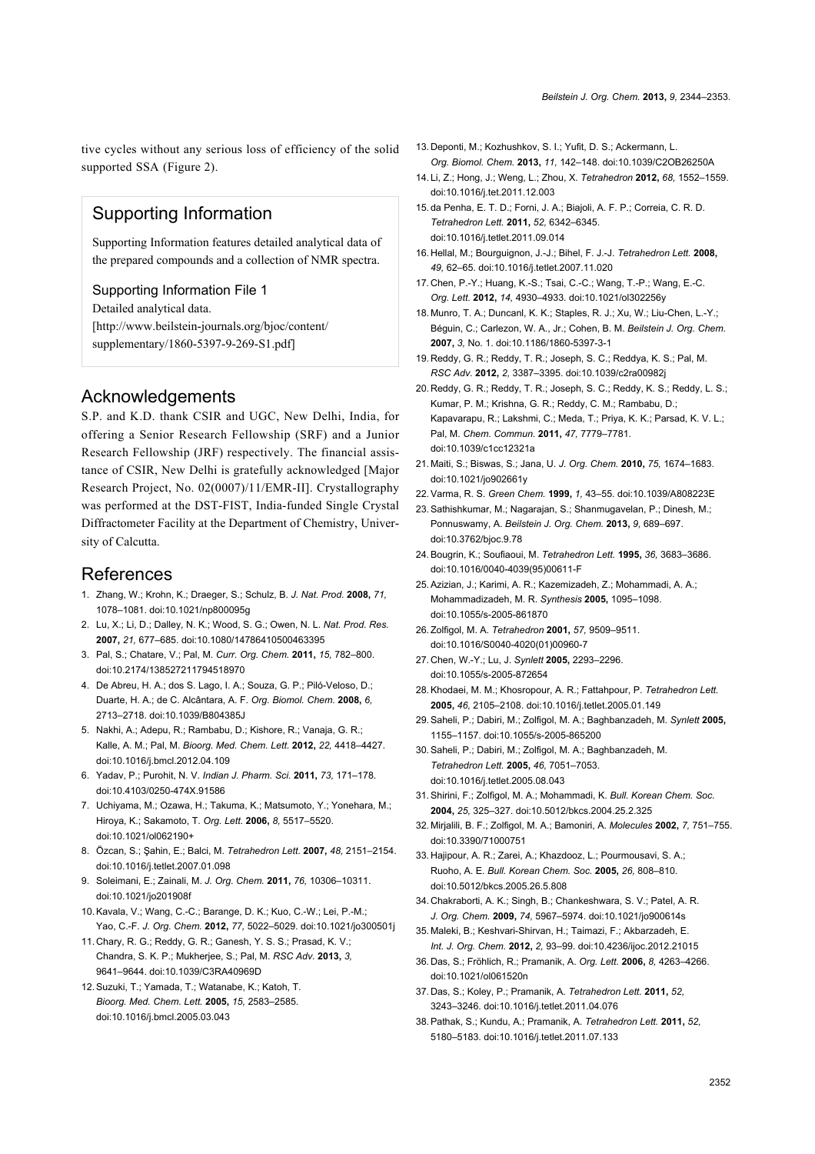tive cycles without any serious loss of efficiency of the solid supported SSA [\(Figure 2\)](#page-7-0).

# Supporting Information

Supporting Information features detailed analytical data of the prepared compounds and a collection of NMR spectra.

#### Supporting Information File 1

Detailed analytical data. [\[http://www.beilstein-journals.org/bjoc/content/](http://www.beilstein-journals.org/bjoc/content/supplementary/1860-5397-9-269-S1.pdf) [supplementary/1860-5397-9-269-S1.pdf\]](http://www.beilstein-journals.org/bjoc/content/supplementary/1860-5397-9-269-S1.pdf)

## Acknowledgements

S.P. and K.D. thank CSIR and UGC, New Delhi, India, for offering a Senior Research Fellowship (SRF) and a Junior Research Fellowship (JRF) respectively. The financial assistance of CSIR, New Delhi is gratefully acknowledged [Major Research Project, No. 02(0007)/11/EMR-II]. Crystallography was performed at the DST-FIST, India-funded Single Crystal Diffractometer Facility at the Department of Chemistry, University of Calcutta.

#### **References**

- <span id="page-8-0"></span>1. Zhang, W.; Krohn, K.; Draeger, S.; Schulz, B. *J. Nat. Prod.* **2008,** *71,* 1078–1081. [doi:10.1021/np800095g](http://dx.doi.org/10.1021%2Fnp800095g)
- 2. Lu, X.; Li, D.; Dalley, N. K.; Wood, S. G.; Owen, N. L. *Nat. Prod. Res.* **2007,** *21,* 677–685. [doi:10.1080/14786410500463395](http://dx.doi.org/10.1080%2F14786410500463395)
- 3. Pal, S.; Chatare, V.; Pal, M. *Curr. Org. Chem.* **2011,** *15,* 782–800. [doi:10.2174/138527211794518970](http://dx.doi.org/10.2174%2F138527211794518970)
- <span id="page-8-1"></span>4. De Abreu, H. A.; dos S. Lago, I. A.; Souza, G. P.; Piló-Veloso, D.; Duarte, H. A.; de C. Alcântara, A. F. *Org. Biomol. Chem.* **2008,** *6,* 2713–2718. [doi:10.1039/B804385J](http://dx.doi.org/10.1039%2FB804385J)
- <span id="page-8-2"></span>5. Nakhi, A.; Adepu, R.; Rambabu, D.; Kishore, R.; Vanaja, G. R.; Kalle, A. M.; Pal, M. *Bioorg. Med. Chem. Lett.* **2012,** *22,* 4418–4427. [doi:10.1016/j.bmcl.2012.04.109](http://dx.doi.org/10.1016%2Fj.bmcl.2012.04.109)
- <span id="page-8-3"></span>6. Yadav, P.; Purohit, N. V. *Indian J. Pharm. Sci.* **2011,** *73,* 171–178. [doi:10.4103/0250-474X.91586](http://dx.doi.org/10.4103%2F0250-474X.91586)
- <span id="page-8-4"></span>7. Uchiyama, M.; Ozawa, H.; Takuma, K.; Matsumoto, Y.; Yonehara, M.; Hiroya, K.; Sakamoto, T. *Org. Lett.* **2006,** *8,* 5517–5520. [doi:10.1021/ol062190+](http://dx.doi.org/10.1021%2Fol062190%2B)
- 8. Özcan, S.; Şahin, E.; Balci, M. *Tetrahedron Lett.* **2007,** *48,* 2151–2154. [doi:10.1016/j.tetlet.2007.01.098](http://dx.doi.org/10.1016%2Fj.tetlet.2007.01.098)
- 9. Soleimani, E.; Zainali, M. *J. Org. Chem.* **2011,** *76,* 10306–10311. [doi:10.1021/jo201908f](http://dx.doi.org/10.1021%2Fjo201908f)
- <span id="page-8-5"></span>10.Kavala, V.; Wang, C.-C.; Barange, D. K.; Kuo, C.-W.; Lei, P.-M.; Yao, C.-F. *J. Org. Chem.* **2012,** *77,* 5022–5029. [doi:10.1021/jo300501j](http://dx.doi.org/10.1021%2Fjo300501j)
- 11. Chary, R. G.; Reddy, G. R.; Ganesh, Y. S. S.; Prasad, K. V.; Chandra, S. K. P.; Mukherjee, S.; Pal, M. *RSC Adv.* **2013,** *3,* 9641–9644. [doi:10.1039/C3RA40969D](http://dx.doi.org/10.1039%2FC3RA40969D)
- <span id="page-8-6"></span>12.Suzuki, T.; Yamada, T.; Watanabe, K.; Katoh, T. *Bioorg. Med. Chem. Lett.* **2005,** *15,* 2583–2585. [doi:10.1016/j.bmcl.2005.03.043](http://dx.doi.org/10.1016%2Fj.bmcl.2005.03.043)
- <span id="page-8-7"></span>13. Deponti, M.; Kozhushkov, S. I.; Yufit, D. S.; Ackermann, L. *Org. Biomol. Chem.* **2013,** *11,* 142–148. [doi:10.1039/C2OB26250A](http://dx.doi.org/10.1039%2FC2OB26250A)
- <span id="page-8-8"></span>14. Li, Z.; Hong, J.; Weng, L.; Zhou, X. *Tetrahedron* **2012,** *68,* 1552–1559. [doi:10.1016/j.tet.2011.12.003](http://dx.doi.org/10.1016%2Fj.tet.2011.12.003)
- <span id="page-8-9"></span>15. da Penha, E. T. D.; Forni, J. A.; Biajoli, A. F. P.; Correia, C. R. D. *Tetrahedron Lett.* **2011,** *52,* 6342–6345. [doi:10.1016/j.tetlet.2011.09.014](http://dx.doi.org/10.1016%2Fj.tetlet.2011.09.014)
- <span id="page-8-10"></span>16. Hellal, M.; Bourguignon, J.-J.; Bihel, F. J.-J. *Tetrahedron Lett.* **2008,** *49,* 62–65. [doi:10.1016/j.tetlet.2007.11.020](http://dx.doi.org/10.1016%2Fj.tetlet.2007.11.020)
- <span id="page-8-11"></span>17. Chen, P.-Y.; Huang, K.-S.; Tsai, C.-C.; Wang, T.-P.; Wang, E.-C. *Org. Lett.* **2012,** *14,* 4930–4933. [doi:10.1021/ol302256y](http://dx.doi.org/10.1021%2Fol302256y)
- <span id="page-8-12"></span>18. Munro, T. A.; Duncanl, K. K.; Staples, R. J.; Xu, W.; Liu-Chen, L.-Y.; Béguin, C.; Carlezon, W. A., Jr.; Cohen, B. M. *Beilstein J. Org. Chem.* **2007,** *3,* No. 1. [doi:10.1186/1860-5397-3-1](http://dx.doi.org/10.1186%2F1860-5397-3-1)
- <span id="page-8-13"></span>19. Reddy, G. R.; Reddy, T. R.; Joseph, S. C.; Reddya, K. S.; Pal, M. *RSC Adv.* **2012,** *2,* 3387–3395. [doi:10.1039/c2ra00982j](http://dx.doi.org/10.1039%2Fc2ra00982j)
- 20. Reddy, G. R.; Reddy, T. R.; Joseph, S. C.; Reddy, K. S.; Reddy, L. S.; Kumar, P. M.; Krishna, G. R.; Reddy, C. M.; Rambabu, D.; Kapavarapu, R.; Lakshmi, C.; Meda, T.; Priya, K. K.; Parsad, K. V. L.; Pal, M. *Chem. Commun.* **2011,** *47,* 7779–7781. [doi:10.1039/c1cc12321a](http://dx.doi.org/10.1039%2Fc1cc12321a)
- 21. Maiti, S.; Biswas, S.; Jana, U. *J. Org. Chem.* **2010,** *75,* 1674–1683. [doi:10.1021/jo902661y](http://dx.doi.org/10.1021%2Fjo902661y)
- <span id="page-8-14"></span>22.Varma, R. S. *Green Chem.* **1999,** *1,* 43–55. [doi:10.1039/A808223E](http://dx.doi.org/10.1039%2FA808223E)
- 23.Sathishkumar, M.; Nagarajan, S.; Shanmugavelan, P.; Dinesh, M.; Ponnuswamy, A. *Beilstein J. Org. Chem.* **2013,** *9,* 689–697. [doi:10.3762/bjoc.9.78](http://dx.doi.org/10.3762%2Fbjoc.9.78)
- <span id="page-8-15"></span>24.Bougrin, K.; Soufiaoui, M. *Tetrahedron Lett.* **1995,** *36,* 3683–3686. [doi:10.1016/0040-4039\(95\)00611-F](http://dx.doi.org/10.1016%2F0040-4039%2895%2900611-F)
- <span id="page-8-16"></span>25.Azizian, J.; Karimi, A. R.; Kazemizadeh, Z.; Mohammadi, A. A.; Mohammadizadeh, M. R. *Synthesis* **2005,** 1095–1098. [doi:10.1055/s-2005-861870](http://dx.doi.org/10.1055%2Fs-2005-861870)
- <span id="page-8-17"></span>26.Zolfigol, M. A. *Tetrahedron* **2001,** *57,* 9509–9511. [doi:10.1016/S0040-4020\(01\)00960-7](http://dx.doi.org/10.1016%2FS0040-4020%2801%2900960-7)
- <span id="page-8-18"></span>27. Chen, W.-Y.; Lu, J. *Synlett* **2005,** 2293–2296. [doi:10.1055/s-2005-872654](http://dx.doi.org/10.1055%2Fs-2005-872654)
- 28.Khodaei, M. M.; Khosropour, A. R.; Fattahpour, P. *Tetrahedron Lett.* **2005,** *46,* 2105–2108. [doi:10.1016/j.tetlet.2005.01.149](http://dx.doi.org/10.1016%2Fj.tetlet.2005.01.149)
- <span id="page-8-19"></span>29.Saheli, P.; Dabiri, M.; Zolfigol, M. A.; Baghbanzadeh, M. *Synlett* **2005,** 1155–1157. [doi:10.1055/s-2005-865200](http://dx.doi.org/10.1055%2Fs-2005-865200)
- 30.Saheli, P.; Dabiri, M.; Zolfigol, M. A.; Baghbanzadeh, M. *Tetrahedron Lett.* **2005,** *46,* 7051–7053. [doi:10.1016/j.tetlet.2005.08.043](http://dx.doi.org/10.1016%2Fj.tetlet.2005.08.043)
- <span id="page-8-20"></span>31.Shirini, F.; Zolfigol, M. A.; Mohammadi, K. *Bull. Korean Chem. Soc.* **2004,** *25,* 325–327. [doi:10.5012/bkcs.2004.25.2.325](http://dx.doi.org/10.5012%2Fbkcs.2004.25.2.325)
- 32. Mirjalili, B. F.; Zolfigol, M. A.; Bamoniri, A. *Molecules* **2002,** *7,* 751–755. [doi:10.3390/71000751](http://dx.doi.org/10.3390%2F71000751)
- 33. Hajipour, A. R.; Zarei, A.; Khazdooz, L.; Pourmousavi, S. A.; Ruoho, A. E. *Bull. Korean Chem. Soc.* **2005,** *26,* 808–810. [doi:10.5012/bkcs.2005.26.5.808](http://dx.doi.org/10.5012%2Fbkcs.2005.26.5.808)
- <span id="page-8-21"></span>34. Chakraborti, A. K.; Singh, B.; Chankeshwara, S. V.; Patel, A. R. *J. Org. Chem.* **2009,** *74,* 5967–5974. [doi:10.1021/jo900614s](http://dx.doi.org/10.1021%2Fjo900614s)
- <span id="page-8-22"></span>35. Maleki, B.; Keshvari-Shirvan, H.; Taimazi, F.; Akbarzadeh, E. *Int. J. Org. Chem.* **2012,** *2,* 93–99. [doi:10.4236/ijoc.2012.21015](http://dx.doi.org/10.4236%2Fijoc.2012.21015)
- <span id="page-8-23"></span>36. Das, S.; Fröhlich, R.; Pramanik, A. *Org. Lett.* **2006,** *8,* 4263–4266. [doi:10.1021/ol061520n](http://dx.doi.org/10.1021%2Fol061520n)
- 37. Das, S.; Koley, P.; Pramanik, A. *Tetrahedron Lett.* **2011,** *52,* 3243–3246. [doi:10.1016/j.tetlet.2011.04.076](http://dx.doi.org/10.1016%2Fj.tetlet.2011.04.076)
- <span id="page-8-24"></span>38.Pathak, S.; Kundu, A.; Pramanik, A. *Tetrahedron Lett.* **2011,** *52,* 5180–5183. [doi:10.1016/j.tetlet.2011.07.133](http://dx.doi.org/10.1016%2Fj.tetlet.2011.07.133)